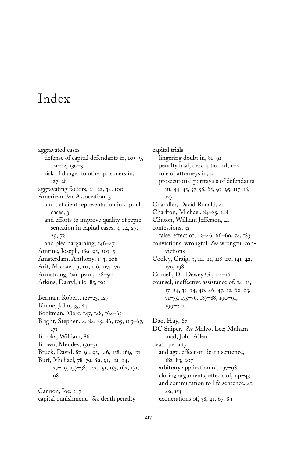## Index

aggravated cases defense of capital defendants in, 105–9, 121–22, 130–31 risk of danger to other prisoners in, 127–28 aggravating factors, 21–22, 34, 100 American Bar Association, 3 and deficient representation in capital cases, 3 and efforts to improve quality of representation in capital cases, 3, 24, 27, 29, 72 and plea bargaining, 146–47 Amrine, Joseph, 189–95, 203–5 Amsterdam, Anthony, 1–3, 208 Arif, Michael, 9, 111, 116, 117, 179 Armstrong, Sampson, 148–50 Atkins, Darryl, 180–85, 193 Berman, Robert, 121–23, 127 Blume, John, 35, 84 Bookman, Marc, 147, 148, 164–65 Bright, Stephen, 4, 84, 85, 86, 105, 165–67, 171 Brooks, William, 86 Brown, Mendes, 150–51 Bruck, David, 87–91, 95, 146, 158, 169, 171 Burt, Michael, 78–79, 89, 91, 121–24, 127–29, 137–38, 142, 151, 153, 162, 171, 198

Cannon, Joe,  $5-7$ capital punishment. *See* death penalty capital trials lingering doubt in, 81–91 penalty trial, description of,  $I$  –2 role of attorneys in, 2 prosecutorial portrayals of defendants in, 44–45, 57–58, 65, 93–95, 117–18, 127 Chandler, David Ronald, 41 Charlton, Michael, 84–85, 148 Clinton, William Jefferson, 41 confessions, 32 false, effect of, 42–46, 66–69, 74, 183 convictions, wrongful. *See* wrongful convictions Cooley, Craig, 9, 111–12, 118–20, 141–42, 179, 198 Cornell, Dr. Dewey G., 114–16 counsel, ineffective assistance of, 14–15, 17–24, 33–34, 40, 46–47, 52, 62–63, 71–75, 175–76, 187–88, 190–91, 199–201 Dao, Huy, 67

DC Sniper. *See* Malvo, Lee; Muhammad, John Allen death penalty and age, effect on death sentence, 182–83, 207

arbitrary application of, 197–98 closing arguments, effects of, 141–43 and commutation to life sentence, 41, 49, 153 exonerations of, 38, 41, 67, 89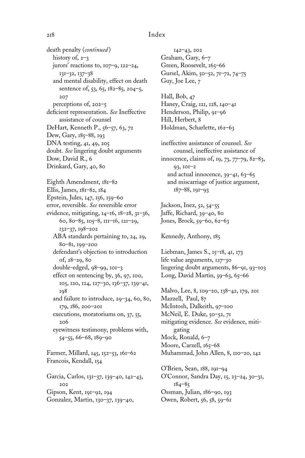## 218 Index

death penalty (*continued* ) history of, 2-3 jurors' reactions to, 107–9, 122–24, 131–32, 137–38 and mental disability, effect on death sentence of, 53, 65, 182–85, 204–5, 207 perceptions of, 202–5 deficient representation. See Ineffective assistance of counsel DeHart, Kenneth P., 56–57, 63, 72 Dew, Gary, 185–88, 193 DNA testing, 41, 49, 205 doubt. *See* lingering doubt arguments Dow, David R., 6 Drinkard, Gary, 40, 80 Eighth Amendment, 181–82 Ellis, James, 181–82, 184 Epstein, Jules, 147, 156, 159–60 error, reversible. *See* reversible error evidence, mitigating, 14–16, 18–28, 31–36, 60, 80–85, 105–8, 111–16, 121–29, 132–37, 198–202 ABA standards pertaining to, 24, 29, 80–81, 199–200 defendant's objection to introduction of, 28–29, 80 double-edged, 98–99, 101–3 effect on sentencing by, 36, 97, 100, 105, 120, 124, 127–30, 136–37, 139–41, 198 and failure to introduce, 29–34, 60, 80, 179, 186, 200–201 executions, moratoriums on, 37, 55, 206 eyewitness testimony, problems with, 54–55, 66–68, 189–90 Farmer, Millard, 145, 152–53, 161–62 Francois, Kendall, 154 Garcia, Carlos, 131–37, 139–40, 142–43,  $202$ Gipson, Kent, 191–92, 194 Gonzalez, Martin, 130–37, 139–40,

142–43, 202 Graham, Gary, 6–7 Green, Roosevelt, 165-66 Gursel, Akim, 50–52, 71–72, 74–75 Guy, Joe Lee, 7 Hall, Bob, 47 Haney, Craig, 121, 128, 140–41 Henderson, Philip, 91–96 Hill, Herbert, 8 Holdman, Scharlette, 162–63 ineffective assistance of counsel. *See* counsel, ineffective assistance of innocence, claims of, 19, 73, 77–79, 82–83, 93, 101–2 and actual innocence,  $39-41$ ,  $63-65$ and miscarriage of justice argument, 187–88, 191–93

Jackson, Inez, 52, 54–55 Jaffe, Richard, 39–40, 80 Jones, Brock, 59–60, 62–63

Kennedy, Anthony, 185

Liebman, James S., 15–18, 41, 173 life value arguments, 127–30 lingering doubt arguments, 86–91, 93–103 Long, David Martin, 59–63, 65–66

Malvo, Lee, 8, 109–20, 138–42, 179, 201 Mazzell, Paul, 87 McIntosh, Dalkeith, 97–100 McNeil, E. Duke, 50–52, 71 mitigating evidence. *See* evidence, mitigating Mock, Ronald, 6–7 Moore, Carzell, 165-68 Muhammad, John Allen, 8, 110–20, 142 O'Brien, Sean, 188, 191–94

O'Connor, Sandra Day, 15, 23–24, 30–31, 184–85 Ossman, Julian, 186–90, 193 Owen, Robert, 56, 58, 59–61